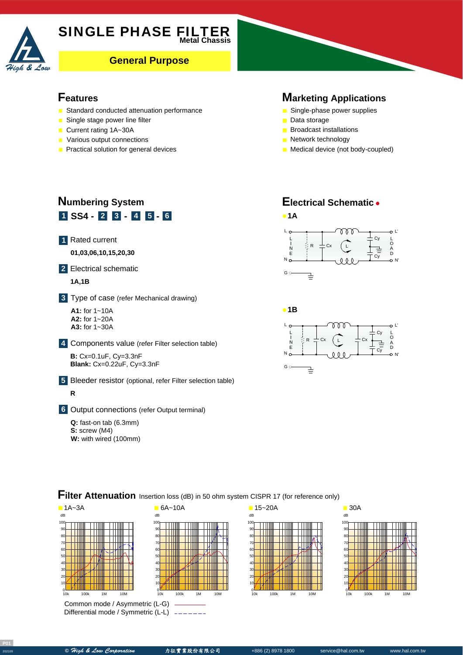

# **SINGLE PHASE FILTER**

**General Purpose** 

#### **Features**

- Standard conducted attenuation performance
- Single stage power line filter
- Current rating 1A~30A
- **Various output connections**
- **Practical solution for general devices**

#### **Marketing Applications**

- Single-phase power supplies
- Data storage

G c

그

- **Broadcast installations**
- **Network technology**
- **Medical device (not body-coupled)**

## **1 SS4** - **2 3** - **4 5** - **6 Numbering System**

Rated current **1**

A **01,03,06,10,15,20,30**

Electrical schematic **2**

#### A **1A,1B**

Type of case (refer Mechanical drawing) **3**

A **A1:** for 1~10A **A2:** for 1~20A **A3:** for 1~30A

Components value (refer Filter selection table) **4**

**B:** Cx=0.1uF, Cy=3.3nF **Blank:** Cx=0.22uF, Cy=3.3nF

Bleeder resistor (optional, refer Filter selection table) **5 R**

Output connections (refer Output terminal) **6**

**Q:** fast-on tab (6.3mm) **S:** screw (M4) **W:** with wired (100mm)



N'



### **Filter Attenuation** Insertion loss (dB) in 50 ohm system CISPR 17 (for reference only)



Common mode / Asymmetric (L-G) Differential mode / Symmetric (L-L)